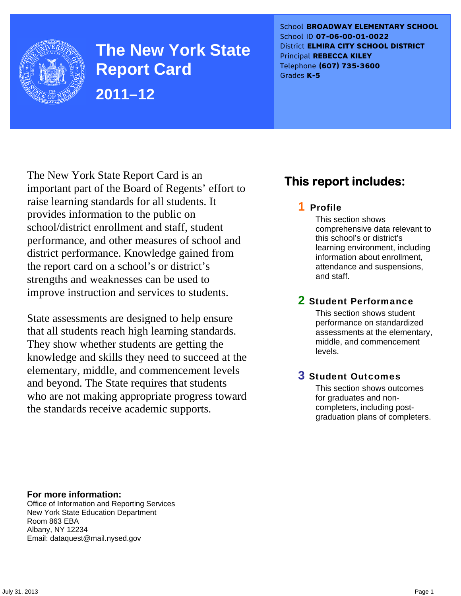

**The New York State Report Card 2011–12** 

School **BROADWAY ELEMENTARY SCHOOL** School ID **07-06-00-01-0022** District **ELMIRA CITY SCHOOL DISTRICT** Principal **REBECCA KILEY** Telephone **(607) 735-3600** Grades **K-5**

The New York State Report Card is an important part of the Board of Regents' effort to raise learning standards for all students. It provides information to the public on school/district enrollment and staff, student performance, and other measures of school and district performance. Knowledge gained from the report card on a school's or district's strengths and weaknesses can be used to improve instruction and services to students.

State assessments are designed to help ensure that all students reach high learning standards. They show whether students are getting the knowledge and skills they need to succeed at the elementary, middle, and commencement levels and beyond. The State requires that students who are not making appropriate progress toward the standards receive academic supports.

# **This report includes:**

## 1 Profile

This section shows comprehensive data relevant to this school's or district's learning environment, including information about enrollment, attendance and suspensions, and staff.

## 2 Student Performance

This section shows student performance on standardized assessments at the elementary, middle, and commencement levels.

## 3 Student Outcomes

This section shows outcomes for graduates and noncompleters, including postgraduation plans of completers.

**For more information:**  Office of Information and Reporting Services New York State Education Department Room 863 EBA

Email: dataquest@mail.nysed.gov

Albany, NY 12234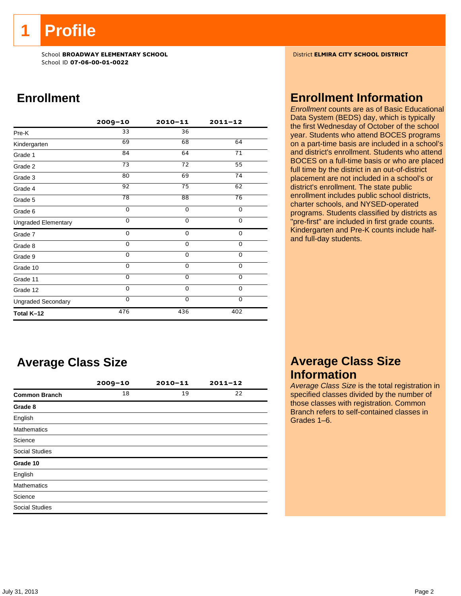**1 Profile** 

School **BROADWAY ELEMENTARY SCHOOL** District **ELMIRA CITY SCHOOL DISTRICT** School ID **07-06-00-01-0022**

# **Enrollment**

|                            | $2009 - 10$     | $2010 - 11$     | $2011 - 12$ |
|----------------------------|-----------------|-----------------|-------------|
| Pre-K                      | 33              | 36              |             |
| Kindergarten               | 69              | 68              | 64          |
| Grade 1                    | 84              | 64              | 71          |
| Grade 2                    | 73              | 72              | 55          |
| Grade 3                    | 80              | 69              | 74          |
| Grade 4                    | $\overline{92}$ | $\overline{75}$ | 62          |
| Grade 5                    | 78              | $\overline{88}$ | 76          |
| Grade 6                    | 0               | 0               | 0           |
| <b>Ungraded Elementary</b> | $\Omega$        | $\Omega$        | 0           |
| Grade 7                    | 0               | $\mathbf 0$     | 0           |
| Grade 8                    | 0               | $\mathbf 0$     | 0           |
| Grade 9                    | 0               | 0               | 0           |
| Grade 10                   | 0               | 0               | 0           |
| Grade 11                   | $\Omega$        | $\mathbf 0$     | $\mathbf 0$ |
| Grade 12                   | $\Omega$        | $\Omega$        | $\mathbf 0$ |
| <b>Ungraded Secondary</b>  | $\Omega$        | $\Omega$        | 0           |
| Total K-12                 | 476             | 436             | 402         |

# **Average Class Size**

|                       | $2009 - 10$ | $2010 - 11$ | $2011 - 12$ |
|-----------------------|-------------|-------------|-------------|
| <b>Common Branch</b>  | 18          | 19          | 22          |
| Grade 8               |             |             |             |
| English               |             |             |             |
| <b>Mathematics</b>    |             |             |             |
| Science               |             |             |             |
| <b>Social Studies</b> |             |             |             |
| Grade 10              |             |             |             |
| English               |             |             |             |
| <b>Mathematics</b>    |             |             |             |
| Science               |             |             |             |
| <b>Social Studies</b> |             |             |             |

## **Enrollment Information**

*Enrollment* counts are as of Basic Educational Data System (BEDS) day, which is typically the first Wednesday of October of the school year. Students who attend BOCES programs on a part-time basis are included in a school's and district's enrollment. Students who attend BOCES on a full-time basis or who are placed full time by the district in an out-of-district placement are not included in a school's or district's enrollment. The state public enrollment includes public school districts, charter schools, and NYSED-operated programs. Students classified by districts as "pre-first" are included in first grade counts. Kindergarten and Pre-K counts include halfand full-day students.

## **Average Class Size Information**

*Average Class Size* is the total registration in specified classes divided by the number of those classes with registration. Common Branch refers to self-contained classes in Grades 1–6.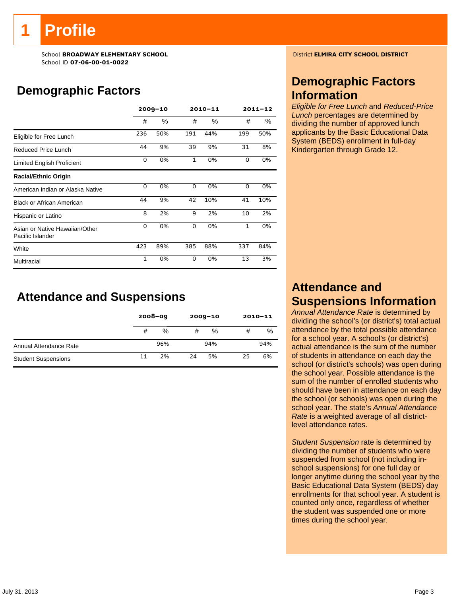# **Profile**

School **BROADWAY ELEMENTARY SCHOOL** District **ELMIRA CITY SCHOOL DISTRICT** School ID **07-06-00-01-0022**

# **Demographic Factors**

|                                                    | $2009 - 10$  |      |              | $2010 - 11$ | $2011 - 12$  |     |  |
|----------------------------------------------------|--------------|------|--------------|-------------|--------------|-----|--|
|                                                    | #            | $\%$ | #            | $\%$        | #            | %   |  |
| Eligible for Free Lunch                            | 236          | 50%  | 191          | 44%         | 199          | 50% |  |
| Reduced Price Lunch                                | 44           | 9%   | 39           | 9%          | 31           | 8%  |  |
| Limited English Proficient                         | 0            | 0%   | $\mathbf{1}$ | 0%          | 0            | 0%  |  |
| <b>Racial/Ethnic Origin</b>                        |              |      |              |             |              |     |  |
| American Indian or Alaska Native                   | 0            | 0%   | 0            | 0%          | 0            | 0%  |  |
| <b>Black or African American</b>                   | 44           | 9%   | 42           | 10%         | 41           | 10% |  |
| Hispanic or Latino                                 | 8            | 2%   | 9            | 2%          | 10           | 2%  |  |
| Asian or Native Hawaiian/Other<br>Pacific Islander | 0            | 0%   | 0            | 0%          | $\mathbf{1}$ | 0%  |  |
| White                                              | 423          | 89%  | 385          | 88%         | 337          | 84% |  |
| Multiracial                                        | $\mathbf{1}$ | 0%   | $\Omega$     | 0%          | 13           | 3%  |  |

# **Attendance and Suspensions**

|                            |    | $2008 - 09$ |    | $2009 - 10$ | $2010 - 11$ |     |
|----------------------------|----|-------------|----|-------------|-------------|-----|
|                            | #  | %           | #  | %           | #           | %   |
| Annual Attendance Rate     |    | 96%         |    | 94%         |             | 94% |
| <b>Student Suspensions</b> | 11 | 2%          | 24 | 5%          | 25          | 6%  |

## **Demographic Factors Information**

*Eligible for Free Lunch* and *Reduced-Price Lunch* percentages are determined by dividing the number of approved lunch applicants by the Basic Educational Data System (BEDS) enrollment in full-day Kindergarten through Grade 12.

## **Attendance and Suspensions Information**

*Annual Attendance Rate* is determined by dividing the school's (or district's) total actual attendance by the total possible attendance for a school year. A school's (or district's) actual attendance is the sum of the number of students in attendance on each day the school (or district's schools) was open during the school year. Possible attendance is the sum of the number of enrolled students who should have been in attendance on each day the school (or schools) was open during the school year. The state's *Annual Attendance Rate* is a weighted average of all districtlevel attendance rates.

*Student Suspension* rate is determined by dividing the number of students who were suspended from school (not including inschool suspensions) for one full day or longer anytime during the school year by the Basic Educational Data System (BEDS) day enrollments for that school year. A student is counted only once, regardless of whether the student was suspended one or more times during the school year.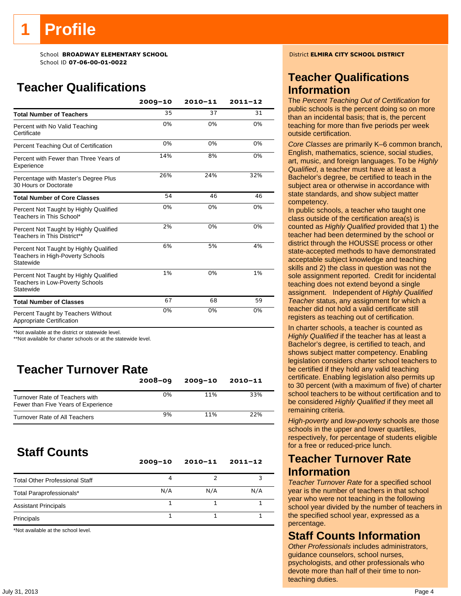# **Teacher Qualifications**

|                                                                                               | $2009 - 10$ | $2010 - 11$ | $2011 - 12$ |
|-----------------------------------------------------------------------------------------------|-------------|-------------|-------------|
| <b>Total Number of Teachers</b>                                                               | 35          | 37          | 31          |
| Percent with No Valid Teaching<br>Certificate                                                 | 0%          | 0%          | 0%          |
| Percent Teaching Out of Certification                                                         | 0%          | 0%          | 0%          |
| Percent with Fewer than Three Years of<br>Experience                                          | 14%         | 8%          | 0%          |
| Percentage with Master's Degree Plus<br>30 Hours or Doctorate                                 | 26%         | 24%         | 32%         |
| <b>Total Number of Core Classes</b>                                                           | 54          | 46          | 46          |
| Percent Not Taught by Highly Qualified<br>Teachers in This School*                            | 0%          | 0%          | 0%          |
| Percent Not Taught by Highly Qualified<br>Teachers in This District**                         | 2%          | 0%          | 0%          |
| Percent Not Taught by Highly Qualified<br>Teachers in High-Poverty Schools<br>Statewide       | 6%          | 5%          | 4%          |
| Percent Not Taught by Highly Qualified<br><b>Teachers in Low-Poverty Schools</b><br>Statewide | 1%          | 0%          | 1%          |
| <b>Total Number of Classes</b>                                                                | 67          | 68          | 59          |
| Percent Taught by Teachers Without<br>Appropriate Certification                               | 0%          | 0%          | 0%          |

\*Not available at the district or statewide level.

\*\*Not available for charter schools or at the statewide level.

# **Teacher Turnover Rate**

|                                                                       | $2008 - 09$ | $2009 - 10$ | $2010 - 11$ |
|-----------------------------------------------------------------------|-------------|-------------|-------------|
| Turnover Rate of Teachers with<br>Fewer than Five Years of Experience | 0%          | 11%         | 33%         |
| Turnover Rate of All Teachers                                         | 9%          | 11%         | 22%         |

# **Staff Counts**

|                                       | $2009 - 10$ | $2010 - 11$ | $2011 - 12$ |
|---------------------------------------|-------------|-------------|-------------|
| <b>Total Other Professional Staff</b> | 4           |             |             |
| Total Paraprofessionals*              | N/A         | N/A         | N/A         |
| <b>Assistant Principals</b>           |             |             |             |
| Principals                            |             |             |             |

\*Not available at the school level.

## **Teacher Qualifications Information**

The *Percent Teaching Out of Certification* for public schools is the percent doing so on more than an incidental basis; that is, the percent teaching for more than five periods per week outside certification.

*Core Classes* are primarily K–6 common branch, English, mathematics, science, social studies, art, music, and foreign languages. To be *Highly Qualified*, a teacher must have at least a Bachelor's degree, be certified to teach in the subject area or otherwise in accordance with state standards, and show subject matter competency.

In public schools, a teacher who taught one class outside of the certification area(s) is counted as *Highly Qualified* provided that 1) the teacher had been determined by the school or district through the HOUSSE process or other state-accepted methods to have demonstrated acceptable subject knowledge and teaching skills and 2) the class in question was not the sole assignment reported. Credit for incidental teaching does not extend beyond a single assignment. Independent of *Highly Qualified Teacher* status, any assignment for which a teacher did not hold a valid certificate still registers as teaching out of certification.

In charter schools, a teacher is counted as *Highly Qualified* if the teacher has at least a Bachelor's degree, is certified to teach, and shows subject matter competency. Enabling legislation considers charter school teachers to be certified if they hold any valid teaching certificate. Enabling legislation also permits up to 30 percent (with a maximum of five) of charter school teachers to be without certification and to be considered *Highly Qualified* if they meet all remaining criteria.

*High-poverty* and *low-poverty* schools are those schools in the upper and lower quartiles, respectively, for percentage of students eligible for a free or reduced-price lunch.

## **Teacher Turnover Rate Information**

*Teacher Turnover Rate* for a specified school year is the number of teachers in that school year who were not teaching in the following school year divided by the number of teachers in the specified school year, expressed as a percentage.

## **Staff Counts Information**

*Other Professionals* includes administrators, guidance counselors, school nurses, psychologists, and other professionals who devote more than half of their time to nonteaching duties.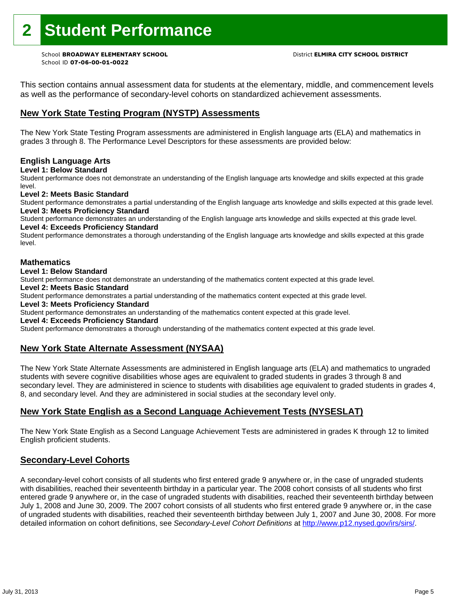# **2 Student Performance**

School ID **07-06-00-01-0022**

This section contains annual assessment data for students at the elementary, middle, and commencement levels as well as the performance of secondary-level cohorts on standardized achievement assessments.

## **New York State Testing Program (NYSTP) Assessments**

The New York State Testing Program assessments are administered in English language arts (ELA) and mathematics in grades 3 through 8. The Performance Level Descriptors for these assessments are provided below:

## **English Language Arts**

**Level 1: Below Standard** 

Student performance does not demonstrate an understanding of the English language arts knowledge and skills expected at this grade level.

### **Level 2: Meets Basic Standard**

Student performance demonstrates a partial understanding of the English language arts knowledge and skills expected at this grade level. **Level 3: Meets Proficiency Standard** 

Student performance demonstrates an understanding of the English language arts knowledge and skills expected at this grade level. **Level 4: Exceeds Proficiency Standard** 

Student performance demonstrates a thorough understanding of the English language arts knowledge and skills expected at this grade level.

### **Mathematics**

### **Level 1: Below Standard**

Student performance does not demonstrate an understanding of the mathematics content expected at this grade level.

### **Level 2: Meets Basic Standard**

Student performance demonstrates a partial understanding of the mathematics content expected at this grade level.

### **Level 3: Meets Proficiency Standard**

Student performance demonstrates an understanding of the mathematics content expected at this grade level.

### **Level 4: Exceeds Proficiency Standard**

Student performance demonstrates a thorough understanding of the mathematics content expected at this grade level.

## **New York State Alternate Assessment (NYSAA)**

The New York State Alternate Assessments are administered in English language arts (ELA) and mathematics to ungraded students with severe cognitive disabilities whose ages are equivalent to graded students in grades 3 through 8 and secondary level. They are administered in science to students with disabilities age equivalent to graded students in grades 4, 8, and secondary level. And they are administered in social studies at the secondary level only.

## **New York State English as a Second Language Achievement Tests (NYSESLAT)**

The New York State English as a Second Language Achievement Tests are administered in grades K through 12 to limited English proficient students.

## **Secondary-Level Cohorts**

A secondary-level cohort consists of all students who first entered grade 9 anywhere or, in the case of ungraded students with disabilities, reached their seventeenth birthday in a particular year. The 2008 cohort consists of all students who first entered grade 9 anywhere or, in the case of ungraded students with disabilities, reached their seventeenth birthday between July 1, 2008 and June 30, 2009. The 2007 cohort consists of all students who first entered grade 9 anywhere or, in the case of ungraded students with disabilities, reached their seventeenth birthday between July 1, 2007 and June 30, 2008. For more detailed information on cohort definitions, see *Secondary-Level Cohort Definitions* at http://www.p12.nysed.gov/irs/sirs/.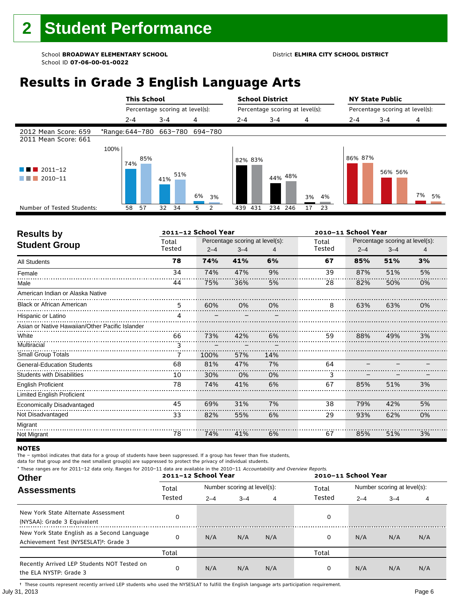# **Results in Grade 3 English Language Arts**

|                                                  |                                 |         |     | <b>This School</b> |                                 |    |    | <b>School District</b> |                                 |         |  |    | <b>NY State Public</b> |                                 |         |  |    |    |
|--------------------------------------------------|---------------------------------|---------|-----|--------------------|---------------------------------|----|----|------------------------|---------------------------------|---------|--|----|------------------------|---------------------------------|---------|--|----|----|
|                                                  |                                 |         |     |                    | Percentage scoring at level(s): |    |    |                        | Percentage scoring at level(s): |         |  |    |                        | Percentage scoring at level(s): |         |  |    |    |
|                                                  |                                 | $2 - 4$ |     | $3 - 4$            |                                 | 4  |    | $2 - 4$                |                                 | $3 - 4$ |  | 4  |                        | $2 - 4$                         | $3 - 4$ |  | 4  |    |
| 2012 Mean Score: 659<br>2011 Mean Score: 661     | *Range: 644-780 663-780 694-780 |         |     |                    |                                 |    |    |                        |                                 |         |  |    |                        |                                 |         |  |    |    |
| $\blacksquare$ 2011-12<br>a kacamatan<br>2010-11 | 100%                            | 74%     | 85% | 41%                | 51%                             | 6% | 3% |                        | 82% 83%                         | 44% 48% |  | 3% | 4%                     | 86% 87%                         | 56% 56% |  | 7% | 5% |
| Number of Tested Students:                       |                                 | 58      | 57  | 32                 | 34                              | 5  | 2  | 439                    | 431                             | 234 246 |  | 17 | -23                    |                                 |         |  |    |    |
|                                                  |                                 |         |     |                    |                                 |    |    |                        |                                 |         |  |    |                        |                                 |         |  |    |    |

| <b>Results by</b>                               |        | 2011-12 School Year |                                 |     | 2010-11 School Year |         |                                 |    |
|-------------------------------------------------|--------|---------------------|---------------------------------|-----|---------------------|---------|---------------------------------|----|
| <b>Student Group</b>                            | Total  |                     | Percentage scoring at level(s): |     | Total               |         | Percentage scoring at level(s): |    |
|                                                 | Tested | $2 - 4$             | $3 - 4$                         | 4   | Tested              | $2 - 4$ | $3 - 4$                         | 4  |
| <b>All Students</b>                             | 78     | 74%                 | 41%                             | 6%  | 67                  | 85%     | 51%                             | 3% |
| Female                                          | 34     | 74%                 | 47%                             | 9%  | 39                  | 87%     | 51%                             | 5% |
| Male                                            | 44     | 75%                 | 36%                             | 5%  | 28                  | 82%     | 50%                             | 0% |
| American Indian or Alaska Native                |        |                     |                                 |     |                     |         |                                 |    |
| <b>Black or African American</b>                | 5      | 60%                 | 0%                              | 0%  | 8                   | 63%     | 63%                             | 0% |
| Hispanic or Latino                              | Δ      |                     |                                 |     |                     |         |                                 |    |
| Asian or Native Hawaiian/Other Pacific Islander |        |                     |                                 |     |                     |         |                                 |    |
| White                                           | 66     | 73%                 | 42%                             | 6%  | 59                  | 88%     | 49%                             | 3% |
| Multiracial                                     | 3      |                     |                                 |     |                     |         |                                 |    |
| <b>Small Group Totals</b>                       | 7      | 100%                | 57%                             | 14% |                     |         |                                 |    |
| <b>General-Education Students</b>               | 68     | 81%                 | 47%                             | 7%  | 64                  |         |                                 |    |
| <b>Students with Disabilities</b>               | 10     | 30%                 | 0%                              | 0%  | 3                   |         |                                 |    |
| <b>English Proficient</b>                       | 78     | 74%                 | 41%                             | 6%  | 67                  | 85%     | 51%                             | 3% |
| Limited English Proficient                      |        |                     |                                 |     |                     |         |                                 |    |
| Economically Disadvantaged                      | 45     | 69%                 | 31%                             | 7%  | 38                  | 79%     | 42%                             | 5% |
| Not Disadvantaged                               | 33     | 82%                 | 55%                             | 6%  | 29                  | 93%     | 62%                             | 0% |
| Migrant                                         |        |                     |                                 |     |                     |         |                                 |    |
| Not Migrant                                     | 78     | 74%                 | 41%                             | 6%  | 67                  | 85%     | 51%                             | 3% |

#### **NOTES**

The – symbol indicates that data for a group of students have been suppressed. If a group has fewer than five students,

data for that group and the next smallest group(s) are suppressed to protect the privacy of individual students. \* These ranges are for 2011–12 data only. Ranges for 2010–11 data are available in the 2010–11 Accountability and Overview Reports.

| THESE TRINGES ARE TOT ZUIT-IZ GATA ONLY. RANGES TOT ZUID-II GATA ARE AVAILABLE IN THE ZUID-II ACCOUNTABILITY AND OVERVIEW REPORTS.<br><b>Other</b> |        | 2011-12 School Year |                             |     | 2010-11 School Year |                             |         |     |  |
|----------------------------------------------------------------------------------------------------------------------------------------------------|--------|---------------------|-----------------------------|-----|---------------------|-----------------------------|---------|-----|--|
| <b>Assessments</b>                                                                                                                                 | Total  |                     | Number scoring at level(s): |     | Total<br>Tested     | Number scoring at level(s): |         |     |  |
|                                                                                                                                                    | Tested | $2 - 4$             | $3 - 4$                     | 4   |                     | $2 - 4$                     | $3 - 4$ | 4   |  |
| New York State Alternate Assessment<br>(NYSAA): Grade 3 Equivalent                                                                                 |        |                     |                             |     | 0                   |                             |         |     |  |
| New York State English as a Second Language<br>Achievement Test (NYSESLAT) <sup>+</sup> : Grade 3                                                  |        | N/A                 | N/A                         | N/A | 0                   | N/A                         | N/A     | N/A |  |
|                                                                                                                                                    | Total  |                     |                             |     | Total               |                             |         |     |  |
| Recently Arrived LEP Students NOT Tested on<br>the ELA NYSTP: Grade 3                                                                              |        | N/A                 | N/A                         | N/A | 0                   | N/A                         | N/A     | N/A |  |

July 31, 2013 Page 6 † These counts represent recently arrived LEP students who used the NYSESLAT to fulfill the English language arts participation requirement.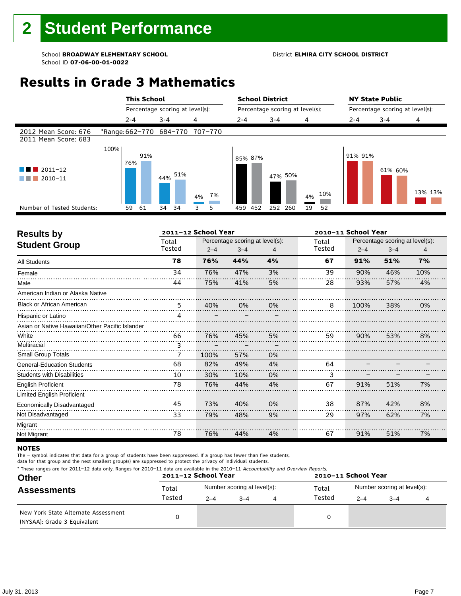# **Results in Grade 3 Mathematics**

|                                              |      | <b>This School</b> |                                 |          | <b>School District</b>          |         |           | <b>NY State Public</b>          |         |         |  |
|----------------------------------------------|------|--------------------|---------------------------------|----------|---------------------------------|---------|-----------|---------------------------------|---------|---------|--|
|                                              |      |                    | Percentage scoring at level(s): |          | Percentage scoring at level(s): |         |           | Percentage scoring at level(s): |         |         |  |
|                                              |      | $2 - 4$            | $3 - 4$                         | 4        | $2 - 4$                         | $3 - 4$ | 4         | $2 - 4$                         | $3 - 4$ | 4       |  |
| 2012 Mean Score: 676<br>2011 Mean Score: 683 |      |                    | *Range: 662-770 684-770 707-770 |          |                                 |         |           |                                 |         |         |  |
| $2011 - 12$<br>2010-11                       | 100% | 91%<br>76%         | 44% 51%                         | 7%<br>4% | 85% 87%                         | 47% 50% | 10%<br>4% | 91% 91%                         | 61% 60% | 13% 13% |  |
| Number of Tested Students:                   |      | 61<br>59           | 34<br>34                        | 3<br>5   | 459 452                         | 252 260 | 19<br>52  |                                 |         |         |  |
|                                              |      |                    |                                 |          |                                 |         |           |                                 |         |         |  |

| <b>Results by</b>                               |        | 2011-12 School Year |                                 |    | 2010-11 School Year |         |                                 |     |
|-------------------------------------------------|--------|---------------------|---------------------------------|----|---------------------|---------|---------------------------------|-----|
| <b>Student Group</b>                            | Total  |                     | Percentage scoring at level(s): |    | Total               |         | Percentage scoring at level(s): |     |
|                                                 | Tested | $2 - 4$             | $3 - 4$                         | 4  | Tested              | $2 - 4$ | $3 - 4$                         | 4   |
| <b>All Students</b>                             | 78     | 76%                 | 44%                             | 4% | 67                  | 91%     | 51%                             | 7%  |
| Female                                          | 34     | 76%                 | 47%                             | 3% | 39                  | 90%     | 46%                             | 10% |
| Male                                            | 44     | 75%                 | 41%                             | 5% | 28                  | 93%     | 57%                             | 4%  |
| American Indian or Alaska Native                |        |                     |                                 |    |                     |         |                                 |     |
| <b>Black or African American</b>                | 5      | 40%                 | 0%                              | 0% | 8                   | 100%    | 38%                             | 0%  |
| Hispanic or Latino                              | Δ      |                     |                                 |    |                     |         |                                 |     |
| Asian or Native Hawaiian/Other Pacific Islander |        |                     |                                 |    |                     |         |                                 |     |
| White                                           | 66     | 76%                 | 45%                             | 5% | 59                  | 90%     | 53%                             | 8%  |
| Multiracial                                     | 3      |                     |                                 |    |                     |         |                                 |     |
| <b>Small Group Totals</b>                       | 7      | 100%                | 57%                             | 0% |                     |         |                                 |     |
| <b>General-Education Students</b>               | 68     | 82%                 | 49%                             | 4% | 64                  |         |                                 |     |
| <b>Students with Disabilities</b>               | 10     | 30%                 | 10%                             | 0% | 3                   |         |                                 |     |
| <b>English Proficient</b>                       | 78     | 76%                 | 44%                             | 4% | 67                  | 91%     | 51%                             | 7%  |
| <b>Limited English Proficient</b>               |        |                     |                                 |    |                     |         |                                 |     |
| Economically Disadvantaged                      | 45     | 73%                 | 40%                             | 0% | 38                  | 87%     | 42%                             | 8%  |
| Not Disadvantaged                               | 33     | 79%                 | 48%                             | 9% | 29                  | 97%     | 62%                             | 7%  |
| Migrant                                         |        |                     |                                 |    |                     |         |                                 |     |
| Not Migrant                                     | 78     | 76%                 | 44%                             | 4% | 67                  | 91%     | 51%                             | 7%  |

### **NOTES**

The – symbol indicates that data for a group of students have been suppressed. If a group has fewer than five students,

| * These ranges are for 2011-12 data only. Ranges for 2010-11 data are available in the 2010-11 Accountability and Overview Reports. |  |
|-------------------------------------------------------------------------------------------------------------------------------------|--|
|-------------------------------------------------------------------------------------------------------------------------------------|--|

| <b>Other</b>                                                       |        | 2011-12 School Year |                             | 2010-11 School Year |         |                             |  |  |
|--------------------------------------------------------------------|--------|---------------------|-----------------------------|---------------------|---------|-----------------------------|--|--|
| <b>Assessments</b>                                                 | Total  |                     | Number scoring at level(s): | Total               |         | Number scoring at level(s): |  |  |
|                                                                    | Tested | $2 - 4$             | $-4$                        | Tested              | $2 - 4$ | $3 - 4$                     |  |  |
| New York State Alternate Assessment<br>(NYSAA): Grade 3 Equivalent |        |                     |                             | 0                   |         |                             |  |  |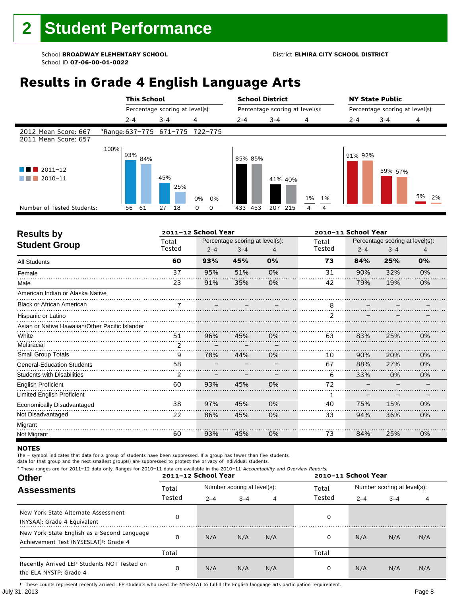# **Results in Grade 4 English Language Arts**

|                                                                          |      | <b>This School</b> |                                 |                  | <b>School District</b> |                                 |          | <b>NY State Public</b>          |         |          |  |
|--------------------------------------------------------------------------|------|--------------------|---------------------------------|------------------|------------------------|---------------------------------|----------|---------------------------------|---------|----------|--|
|                                                                          |      |                    | Percentage scoring at level(s): |                  |                        | Percentage scoring at level(s): |          | Percentage scoring at level(s): |         |          |  |
|                                                                          |      | $2 - 4$            | $3 - 4$                         | 4                | $2 - 4$                | $3 - 4$                         | 4        | $2 - 4$                         | $3 - 4$ | 4        |  |
| 2012 Mean Score: 667<br>2011 Mean Score: 657                             |      |                    | *Range: 637-775 671-775 722-775 |                  |                        |                                 |          |                                 |         |          |  |
| $\blacksquare$ 2011-12<br>a sa kacamatan<br>2010-11<br><b>The Common</b> | 100% | 93%<br>84%         | 45%<br>25%                      | 0%<br>0%         | 85% 85%                | 41% 40%                         | 1%<br>1% | 91% 92%                         | 59% 57% | 5%<br>2% |  |
| Number of Tested Students:                                               |      | 61<br>56           | 27<br>18                        | $\mathbf 0$<br>0 | 453<br>433             | 207<br>215                      | 4<br>4   |                                 |         |          |  |

٦

| <b>Results by</b>                               |        | 2011-12 School Year |                                 |    |        | 2010-11 School Year |         | Percentage scoring at level(s):<br>4<br>0%<br>0%<br>0%<br>0%<br>0%<br>0% |  |  |  |
|-------------------------------------------------|--------|---------------------|---------------------------------|----|--------|---------------------|---------|--------------------------------------------------------------------------|--|--|--|
| <b>Student Group</b>                            | Total  |                     | Percentage scoring at level(s): |    | Total  |                     |         |                                                                          |  |  |  |
|                                                 | Tested | $2 - 4$             | $3 - 4$                         |    | Tested | $2 - 4$             | $3 - 4$ |                                                                          |  |  |  |
| <b>All Students</b>                             | 60     | 93%                 | 45%                             | 0% | 73     | 84%                 | 25%     |                                                                          |  |  |  |
| Female                                          | 37     | 95%                 | 51%                             | 0% | 31     | 90%                 | 32%     |                                                                          |  |  |  |
| Male                                            | 23     | 91%                 | 35%                             | 0% | 42     | 79%                 | 19%     |                                                                          |  |  |  |
| American Indian or Alaska Native                |        |                     |                                 |    |        |                     |         |                                                                          |  |  |  |
| <b>Black or African American</b>                |        |                     |                                 |    | 8      |                     |         |                                                                          |  |  |  |
| Hispanic or Latino                              |        |                     |                                 |    |        |                     |         |                                                                          |  |  |  |
| Asian or Native Hawaiian/Other Pacific Islander |        |                     |                                 |    |        |                     |         |                                                                          |  |  |  |
| White                                           | 51     | 96%                 | 45%                             | 0% | 63     | 83%                 | 25%     |                                                                          |  |  |  |
| Multiracial                                     | 2      |                     |                                 |    |        |                     |         |                                                                          |  |  |  |
| <b>Small Group Totals</b>                       | 9      | 78%                 | 44%                             | 0% | 10     | 90%                 | 20%     |                                                                          |  |  |  |
| <b>General-Education Students</b>               | 58     |                     |                                 |    | 67     | 88%                 | 27%     |                                                                          |  |  |  |
| <b>Students with Disabilities</b>               | 2      |                     |                                 |    | 6      | 33%                 | 0%      | 0%                                                                       |  |  |  |
| <b>English Proficient</b>                       | 60     | 93%                 | 45%                             | 0% | 72     |                     |         |                                                                          |  |  |  |
| <b>Limited English Proficient</b>               |        |                     |                                 |    | 1      |                     |         |                                                                          |  |  |  |
| Economically Disadvantaged                      | 38     | 97%                 | 45%                             | 0% | 40     | 75%                 | 15%     | 0%                                                                       |  |  |  |
| Not Disadvantaged                               | 22     | 86%                 | 45%                             | 0% | 33     | 94%                 | 36%     | 0%                                                                       |  |  |  |
| Migrant                                         |        |                     |                                 |    |        |                     |         |                                                                          |  |  |  |
| Not Migrant                                     | 60     | 93%                 | 45%                             | 0% | 73     | 84%                 | 25%     | 0%                                                                       |  |  |  |

### **NOTES**

The – symbol indicates that data for a group of students have been suppressed. If a group has fewer than five students,

data for that group and the next smallest group(s) are suppressed to protect the privacy of individual students.

| * These ranges are for 2011-12 data only. Ranges for 2010-11 data are available in the 2010-11 Accountability and Overview Reports.<br><b>Other</b> |        | 2011-12 School Year |                             |     | 2010-11 School Year |                             |         |     |  |
|-----------------------------------------------------------------------------------------------------------------------------------------------------|--------|---------------------|-----------------------------|-----|---------------------|-----------------------------|---------|-----|--|
| <b>Assessments</b>                                                                                                                                  | Total  |                     | Number scoring at level(s): |     | Total               | Number scoring at level(s): |         |     |  |
|                                                                                                                                                     | Tested | $2 - 4$             | $3 - 4$                     | 4   | Tested              | $2 - 4$                     | $3 - 4$ | 4   |  |
| New York State Alternate Assessment<br>(NYSAA): Grade 4 Equivalent                                                                                  |        |                     |                             |     | 0                   |                             |         |     |  |
| New York State English as a Second Language<br>Achievement Test (NYSESLAT) <sup>+</sup> : Grade 4                                                   |        | N/A                 | N/A                         | N/A | 0                   | N/A                         | N/A     | N/A |  |
|                                                                                                                                                     | Total  |                     |                             |     | Total               |                             |         |     |  |
| Recently Arrived LEP Students NOT Tested on<br>the ELA NYSTP: Grade 4                                                                               | 0      | N/A                 | N/A                         | N/A | 0                   | N/A                         | N/A     | N/A |  |

July 31, 2013 Page 8 † These counts represent recently arrived LEP students who used the NYSESLAT to fulfill the English language arts participation requirement.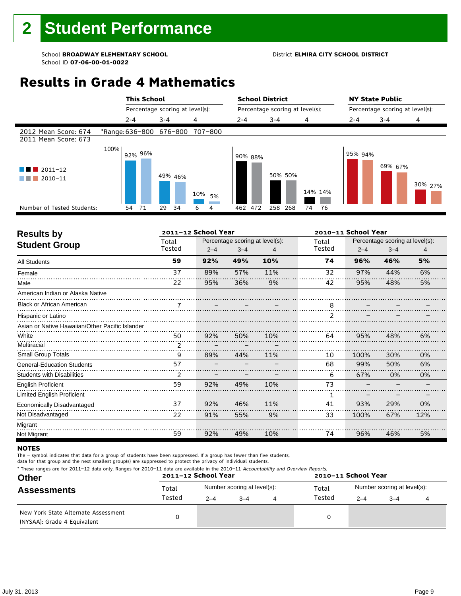# **Results in Grade 4 Mathematics**

|                                              |      | <b>This School</b> |                                 |                     | <b>School District</b>          |            |          | <b>NY State Public</b>          |         |         |
|----------------------------------------------|------|--------------------|---------------------------------|---------------------|---------------------------------|------------|----------|---------------------------------|---------|---------|
|                                              |      |                    | Percentage scoring at level(s): |                     | Percentage scoring at level(s): |            |          | Percentage scoring at level(s): |         |         |
|                                              |      | $2 - 4$            | $3 - 4$                         | 4                   | $2 - 4$                         | $3 - 4$    | 4        | $2 - 4$                         | $3 - 4$ | 4       |
| 2012 Mean Score: 674<br>2011 Mean Score: 673 |      |                    | *Range: 636-800 676-800         | 707-800             |                                 |            |          |                                 |         |         |
| $\blacksquare$ 2011-12<br>2010-11            | 100% | 92% 96%            | 49% 46%                         |                     | 90% 88%                         | 50% 50%    | 14% 14%  | 95% 94%                         | 69% 67% | 30% 27% |
| Number of Tested Students:                   |      | 71<br>54           | 29<br>34                        | 10%<br>5%<br>6<br>4 | 462 472                         | 268<br>258 | 74<br>76 |                                 |         |         |

|               |         |         |                     |                                 | 2010-11 School Year<br>Percentage scoring at level(s):<br>Total<br>Tested<br>$2 - 4$<br>$3 - 4$<br>4 |     |     |  |  |
|---------------|---------|---------|---------------------|---------------------------------|------------------------------------------------------------------------------------------------------|-----|-----|--|--|
| Total         |         |         |                     |                                 |                                                                                                      |     |     |  |  |
| Tested        | $2 - 4$ | $3 - 4$ | 4                   |                                 |                                                                                                      |     |     |  |  |
| 59            | 92%     | 49%     | 10%                 | 74                              | 96%                                                                                                  | 46% | 5%  |  |  |
| 37            | 89%     | 57%     | 11%                 | 32                              | 97%                                                                                                  | 44% | 6%  |  |  |
| 22            | 95%     | 36%     | 9%                  | 42                              | 95%                                                                                                  | 48% | 5%  |  |  |
|               |         |         |                     |                                 |                                                                                                      |     |     |  |  |
|               |         |         |                     | 8                               |                                                                                                      |     |     |  |  |
|               |         |         |                     |                                 |                                                                                                      |     |     |  |  |
|               |         |         |                     |                                 |                                                                                                      |     |     |  |  |
| 50            | 92%     | 50%     | 10%                 | 64                              | 95%                                                                                                  | 48% | 6%  |  |  |
| $\mathcal{P}$ |         |         |                     |                                 |                                                                                                      |     |     |  |  |
| 9             | 89%     | 44%     | 11%                 | 10                              | 100%                                                                                                 | 30% | 0%  |  |  |
| 57            |         |         |                     | 68                              | 99%                                                                                                  | 50% | 6%  |  |  |
| 2             |         |         |                     | 6                               | 67%                                                                                                  | 0%  | 0%  |  |  |
| 59            | 92%     | 49%     | 10%                 | 73                              |                                                                                                      |     |     |  |  |
|               |         |         |                     | 1                               |                                                                                                      |     |     |  |  |
| 37            | 92%     | 46%     | 11%                 | 41                              | 93%                                                                                                  | 29% | 0%  |  |  |
| 22            | 91%     | 55%     | 9%                  | 33                              | 100%                                                                                                 | 67% | 12% |  |  |
|               |         |         |                     |                                 |                                                                                                      |     |     |  |  |
| 59            | 92%     | 49%     | 10%                 | 74                              | 96%                                                                                                  | 46% | 5%  |  |  |
|               |         |         | 2011-12 School Year | Percentage scoring at level(s): |                                                                                                      |     |     |  |  |

### **NOTES**

The – symbol indicates that data for a group of students have been suppressed. If a group has fewer than five students,

|  | * These ranges are for 2011-12 data only. Ranges for 2010-11 data are available in the 2010-11 Accountability and Overview Reports. |
|--|-------------------------------------------------------------------------------------------------------------------------------------|
|--|-------------------------------------------------------------------------------------------------------------------------------------|

| <b>Other</b>                                                       |        | 2011-12 School Year |                             | 2010-11 School Year |                             |         |  |  |
|--------------------------------------------------------------------|--------|---------------------|-----------------------------|---------------------|-----------------------------|---------|--|--|
| <b>Assessments</b>                                                 | Total  |                     | Number scoring at level(s): | Total               | Number scoring at level(s): |         |  |  |
|                                                                    | Tested | $2 - 4$             | $3 - 4$                     | Tested              | $2 - 4$                     | $3 - 4$ |  |  |
| New York State Alternate Assessment<br>(NYSAA): Grade 4 Equivalent |        |                     |                             |                     |                             |         |  |  |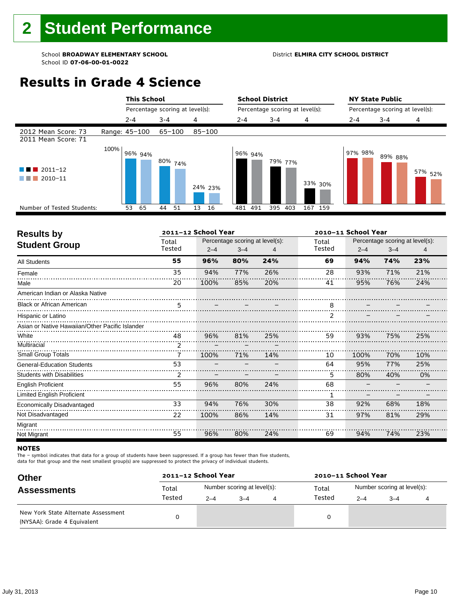# **Results in Grade 4 Science**

|                                            |      | <b>This School</b> |                                 |            |                                 | <b>School District</b> |         |                                 | <b>NY State Public</b> |                    |  |
|--------------------------------------------|------|--------------------|---------------------------------|------------|---------------------------------|------------------------|---------|---------------------------------|------------------------|--------------------|--|
|                                            |      |                    | Percentage scoring at level(s): |            | Percentage scoring at level(s): |                        |         | Percentage scoring at level(s): |                        |                    |  |
|                                            |      | $2 - 4$            | $3 - 4$                         | 4          | $2 - 4$                         | $3 - 4$                | 4       | $2 - 4$                         | $3 - 4$                | 4                  |  |
| 2012 Mean Score: 73<br>2011 Mean Score: 71 |      | Range: 45-100      | 65-100                          | $85 - 100$ |                                 |                        |         |                                 |                        |                    |  |
| $\blacksquare$ 2011-12<br>2010-11<br>.     | 100% | 96% 94%            | 80% <sub>74%</sub>              | 24% 23%    | 96% 94%                         | 79% 77%                | 33% 30% | 97% 98%                         | 89% 88%                | 57% <sub>52%</sub> |  |
| Number of Tested Students:                 |      | 65<br>53           | 51<br>44                        | 13<br>16   | 491<br>481                      | 395<br>403             | 167 159 |                                 |                        |                    |  |
|                                            |      |                    |                                 |            |                                 |                        |         |                                 |                        |                    |  |

|               |         |         |                     |                                 | 2010-11 School Year<br>Percentage scoring at level(s):<br>Total<br>Tested<br>$2 - 4$<br>$3 - 4$<br>4<br>69<br>94%<br>74%<br>23% |     |     |  |  |
|---------------|---------|---------|---------------------|---------------------------------|---------------------------------------------------------------------------------------------------------------------------------|-----|-----|--|--|
| Total         |         |         |                     |                                 |                                                                                                                                 |     |     |  |  |
| Tested        | $2 - 4$ | $3 - 4$ |                     |                                 |                                                                                                                                 |     |     |  |  |
| 55            | 96%     | 80%     | 24%                 |                                 |                                                                                                                                 |     |     |  |  |
| 35            | 94%     | 77%     | 26%                 | 28                              | 93%                                                                                                                             | 71% | 21% |  |  |
| 20            | 100%    | 85%     | 20%                 | 41                              | 95%                                                                                                                             | 76% | 24% |  |  |
|               |         |         |                     |                                 |                                                                                                                                 |     |     |  |  |
| 5             |         |         |                     | 8                               |                                                                                                                                 |     |     |  |  |
|               |         |         |                     | $\mathcal{P}$                   |                                                                                                                                 |     |     |  |  |
|               |         |         |                     |                                 |                                                                                                                                 |     |     |  |  |
| 48            | 96%     | 81%     | 25%                 | 59                              | 93%                                                                                                                             | 75% | 25% |  |  |
| $\mathcal{P}$ |         |         |                     |                                 |                                                                                                                                 |     |     |  |  |
| 7             | 100%    | 71%     | 14%                 | 10                              | 100%                                                                                                                            | 70% | 10% |  |  |
| 53            |         |         |                     | 64                              | 95%                                                                                                                             | 77% | 25% |  |  |
| 2             |         |         |                     | 5.                              | 80%                                                                                                                             | 40% | 0%  |  |  |
| 55            | 96%     | 80%     | 24%                 | 68                              |                                                                                                                                 |     |     |  |  |
|               |         |         |                     | 1                               |                                                                                                                                 |     |     |  |  |
| 33            | 94%     | 76%     | 30%                 | 38                              | 92%                                                                                                                             | 68% | 18% |  |  |
| 22            | 100%    | 86%     | 14%                 | 31                              | 97%                                                                                                                             | 81% | 29% |  |  |
|               |         |         |                     |                                 |                                                                                                                                 |     |     |  |  |
| 55            | 96%     | 80%     | 24%                 | 69                              | 94%                                                                                                                             | 74% | 23% |  |  |
|               |         |         | 2011-12 School Year | Percentage scoring at level(s): |                                                                                                                                 |     |     |  |  |

#### **NOTES**

The – symbol indicates that data for a group of students have been suppressed. If a group has fewer than five students,

| <b>Other</b>                                                       | 2011-12 School Year |         |                             | 2010-11 School Year |         |                             |  |  |
|--------------------------------------------------------------------|---------------------|---------|-----------------------------|---------------------|---------|-----------------------------|--|--|
| <b>Assessments</b>                                                 | Total               |         | Number scoring at level(s): | Total               |         | Number scoring at level(s): |  |  |
|                                                                    | Tested              | $2 - 4$ | $3 - 4$                     | Tested              | $2 - 4$ | $3 - 4$                     |  |  |
| New York State Alternate Assessment<br>(NYSAA): Grade 4 Equivalent |                     |         |                             |                     |         |                             |  |  |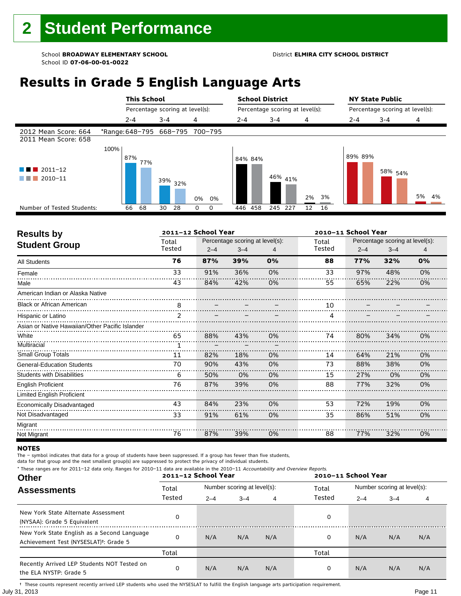# **Results in Grade 5 English Language Arts**

|                                                                       |             | <b>This School</b> |                                 |                                 | <b>School District</b> |                                 |          | <b>NY State Public</b><br>Percentage scoring at level(s): |                    |       |  |
|-----------------------------------------------------------------------|-------------|--------------------|---------------------------------|---------------------------------|------------------------|---------------------------------|----------|-----------------------------------------------------------|--------------------|-------|--|
|                                                                       |             |                    | Percentage scoring at level(s): |                                 |                        | Percentage scoring at level(s): |          |                                                           |                    |       |  |
|                                                                       | $2 - 4$     |                    | $3 - 4$                         | 4                               | $2 - 4$                | 3-4                             | 4        | $2 - 4$                                                   | $3 - 4$            | 4     |  |
| 2012 Mean Score: 664<br>2011 Mean Score: 658                          |             |                    |                                 | *Range: 648-795 668-795 700-795 |                        |                                 |          |                                                           |                    |       |  |
| $\blacksquare$ $\blacksquare$ 2011-12<br>2010-11<br><b>The Common</b> | 100%<br>87% | 77%                | $39\%$ 32%                      | 0%<br>0%                        | 84% 84%                | 46% 41%                         | 3%<br>2% | 89% 89%                                                   | 58% <sub>54%</sub> | 5% 4% |  |
| Number of Tested Students:                                            | 66          | 68                 | 28<br>30                        | 0<br>0                          | 458<br>446             | 245 227                         | 12<br>16 |                                                           |                    |       |  |

٦

| <b>Results by</b>                               |                | 2011-12 School Year |                                 |    | 2010-11 School Year |                                 |         |    |  |
|-------------------------------------------------|----------------|---------------------|---------------------------------|----|---------------------|---------------------------------|---------|----|--|
| <b>Student Group</b>                            | Total          |                     | Percentage scoring at level(s): |    | Total               | Percentage scoring at level(s): |         |    |  |
|                                                 | Tested         | $2 - 4$             | $3 - 4$                         | 4  | Tested              | $2 - 4$                         | $3 - 4$ | 4  |  |
| <b>All Students</b>                             | 76             | 87%                 | 39%                             | 0% | 88                  | 77%                             | 32%     | 0% |  |
| Female                                          | 33             | 91%                 | 36%                             | 0% | 33                  | 97%                             | 48%     | 0% |  |
| Male                                            | 43             | 84%                 | 42%                             | 0% | 55                  | 65%                             | 22%     | 0% |  |
| American Indian or Alaska Native                |                |                     |                                 |    |                     |                                 |         |    |  |
| <b>Black or African American</b>                | 8              |                     |                                 |    | 10                  |                                 |         |    |  |
| Hispanic or Latino                              | $\mathfrak{p}$ |                     |                                 |    | Δ                   |                                 |         |    |  |
| Asian or Native Hawaiian/Other Pacific Islander |                |                     |                                 |    |                     |                                 |         |    |  |
| White                                           | 65             | 88%                 | 43%                             | 0% | 74                  | 80%                             | 34%     | 0% |  |
| Multiracial                                     | 1.             |                     |                                 |    |                     |                                 |         |    |  |
| <b>Small Group Totals</b>                       | 11             | 82%                 | 18%                             | 0% | 14                  | 64%                             | 21%     | 0% |  |
| <b>General-Education Students</b>               | 70             | 90%                 | 43%                             | 0% | 73                  | 88%                             | 38%     | 0% |  |
| <b>Students with Disabilities</b>               | 6              | 50%                 | 0%                              | 0% | 15                  | 27%                             | 0%      | 0% |  |
| <b>English Proficient</b>                       | 76             | 87%                 | 39%                             | 0% | 88                  | 77%                             | 32%     | 0% |  |
| Limited English Proficient                      |                |                     |                                 |    |                     |                                 |         |    |  |
| Economically Disadvantaged                      | 43             | 84%                 | 23%                             | 0% | 53                  | 72%                             | 19%     | 0% |  |
| Not Disadvantaged                               | 33             | 91%                 | 61%                             | 0% | 35                  | 86%                             | 51%     | 0% |  |
| Migrant                                         |                |                     |                                 |    |                     |                                 |         |    |  |
| Not Migrant                                     | 76             | 87%                 | 39%                             | 0% | 88                  | 77%                             | 32%     | 0% |  |

### **NOTES**

The – symbol indicates that data for a group of students have been suppressed. If a group has fewer than five students,

data for that group and the next smallest group(s) are suppressed to protect the privacy of individual students. \* These ranges are for 2011–12 data only. Ranges for 2010–11 data are available in the 2010–11 Accountability and Overview Reports.

| THESE TRINGES ARE TOT ZUIT-IZ GATA ONLY. RANGES TOT ZUID-II GATA ARE AVAILABLE IN THE ZUID-II ACCOUNTABILITY AND OVERVIEW REPORTS.<br><b>Other</b> |        | 2011-12 School Year |                             |     | 2010-11 School Year |                             |         |     |  |
|----------------------------------------------------------------------------------------------------------------------------------------------------|--------|---------------------|-----------------------------|-----|---------------------|-----------------------------|---------|-----|--|
| <b>Assessments</b>                                                                                                                                 | Total  |                     | Number scoring at level(s): |     | Total               | Number scoring at level(s): |         |     |  |
|                                                                                                                                                    | Tested | $2 - 4$             | $3 - 4$                     | 4   | Tested              | $2 - 4$                     | $3 - 4$ |     |  |
| New York State Alternate Assessment<br>(NYSAA): Grade 5 Equivalent                                                                                 |        |                     |                             |     | 0                   |                             |         |     |  |
| New York State English as a Second Language<br>Achievement Test (NYSESLAT) <sup>†</sup> : Grade 5                                                  |        | N/A                 | N/A                         | N/A | 0                   | N/A                         | N/A     | N/A |  |
|                                                                                                                                                    | Total  |                     |                             |     | Total               |                             |         |     |  |
| Recently Arrived LEP Students NOT Tested on<br>the ELA NYSTP: Grade 5                                                                              |        | N/A                 | N/A                         | N/A | 0                   | N/A                         | N/A     | N/A |  |

July 31, 2013 Page 11 † These counts represent recently arrived LEP students who used the NYSESLAT to fulfill the English language arts participation requirement.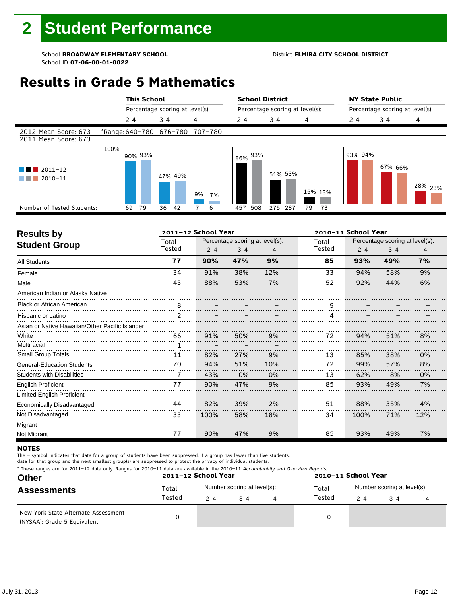# **Results in Grade 5 Mathematics**

|                                              |      | <b>This School</b> |                                 |          | <b>School District</b> |                                 |                                 | <b>NY State Public</b> |         |                    |  |
|----------------------------------------------|------|--------------------|---------------------------------|----------|------------------------|---------------------------------|---------------------------------|------------------------|---------|--------------------|--|
|                                              |      |                    | Percentage scoring at level(s): |          |                        | Percentage scoring at level(s): | Percentage scoring at level(s): |                        |         |                    |  |
|                                              |      | $2 - 4$            | $3 - 4$                         | 4        | $2 - 4$                | $3 - 4$                         | 4                               | $2 - 4$                | $3 - 4$ | 4                  |  |
| 2012 Mean Score: 673<br>2011 Mean Score: 673 |      |                    | *Range: 640-780 676-780         | 707-780  |                        |                                 |                                 |                        |         |                    |  |
| $\blacksquare$ 2011-12<br>2010-11            | 100% | 90% 93%            | 47% 49%                         |          | 93%<br>86%             | 51% 53%                         |                                 | 93% 94%                | 67% 66% |                    |  |
|                                              |      |                    |                                 | 9%<br>7% |                        |                                 | 15% 13%                         |                        |         | <sup>28%</sup> 23% |  |
| Number of Tested Students:                   |      | 79<br>69           | 36<br>- 42                      | 6        | 508<br>457             | 287<br>275                      | 79<br>-73                       |                        |         |                    |  |

| <b>Results by</b>                               |               | 2011-12 School Year |                                 |     | 2010-11 School Year    |         |                                 |     |  |
|-------------------------------------------------|---------------|---------------------|---------------------------------|-----|------------------------|---------|---------------------------------|-----|--|
|                                                 | Total         |                     | Percentage scoring at level(s): |     | Total                  |         | Percentage scoring at level(s): |     |  |
| <b>Student Group</b>                            | Tested        | $2 - 4$             | $3 - 4$                         | 4   | Tested                 | $2 - 4$ | $3 - 4$                         | 4   |  |
| <b>All Students</b>                             | 77            | 90%                 | 47%                             | 9%  | 85                     | 93%     | 49%                             | 7%  |  |
| Female                                          | 34            | 91%                 | 38%                             | 12% | 33                     | 94%     | 58%                             | 9%  |  |
| Male                                            | 43            | 88%                 | 53%                             | 7%  | 52                     | 92%     | 44%                             | 6%  |  |
| American Indian or Alaska Native                |               |                     |                                 |     |                        |         |                                 |     |  |
| <b>Black or African American</b>                | 8             |                     |                                 |     | 9                      |         |                                 |     |  |
| Hispanic or Latino                              | $\mathcal{P}$ |                     |                                 |     | $\boldsymbol{\Lambda}$ |         |                                 |     |  |
| Asian or Native Hawaiian/Other Pacific Islander |               |                     |                                 |     |                        |         |                                 |     |  |
| White                                           | 66            | 91%                 | 50%                             | 9%  | 72                     | 94%     | 51%                             | 8%  |  |
| Multiracial                                     | 1             |                     |                                 |     |                        |         |                                 |     |  |
| <b>Small Group Totals</b>                       | 11            | 82%                 | 27%                             | 9%  | 13                     | 85%     | 38%                             | 0%  |  |
| <b>General-Education Students</b>               | 70            | 94%                 | 51%                             | 10% | 72                     | 99%     | 57%                             | 8%  |  |
| <b>Students with Disabilities</b>               |               | 43%                 | 0%                              | 0%  | 13                     | 62%     | 8%                              | 0%  |  |
| <b>English Proficient</b>                       | 77            | 90%                 | 47%                             | 9%  | 85                     | 93%     | 49%                             | 7%  |  |
| <b>Limited English Proficient</b>               |               |                     |                                 |     |                        |         |                                 |     |  |
| <b>Economically Disadvantaged</b>               | 44            | 82%                 | 39%                             | 2%  | 51                     | 88%     | 35%                             | 4%  |  |
| Not Disadvantaged                               | 33            | 100%                | 58%                             | 18% | 34                     | 100%    | 71%                             | 12% |  |
| Migrant                                         |               |                     |                                 |     |                        |         |                                 |     |  |
| Not Migrant                                     | 77            | 90%                 | 47%                             | 9%  | 85                     | 93%     | 49%                             | 7%  |  |

#### **NOTES**

The – symbol indicates that data for a group of students have been suppressed. If a group has fewer than five students,

|  |  | * These ranges are for 2011-12 data only. Ranges for 2010-11 data are available in the 2010-11 Accountability and Overview Reports. |  |
|--|--|-------------------------------------------------------------------------------------------------------------------------------------|--|
|  |  |                                                                                                                                     |  |

| <b>Other</b>                                                       |        | 2011-12 School Year |                             | 2010-11 School Year |                             |         |  |  |
|--------------------------------------------------------------------|--------|---------------------|-----------------------------|---------------------|-----------------------------|---------|--|--|
| <b>Assessments</b>                                                 | Total  |                     | Number scoring at level(s): | Total               | Number scoring at level(s): |         |  |  |
|                                                                    | Tested | $2 - 4$             | $3 - 4$                     | Tested              | $2 - 4$                     | $3 - 4$ |  |  |
| New York State Alternate Assessment<br>(NYSAA): Grade 5 Equivalent |        |                     |                             | 0                   |                             |         |  |  |